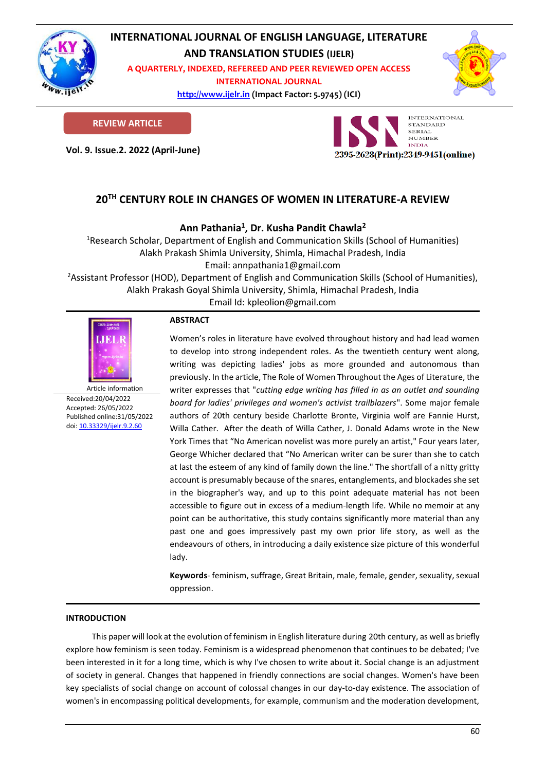

# **INTERNATIONAL JOURNAL OF ENGLISH LANGUAGE, LITERATURE**

**AND TRANSLATION STUDIES (IJELR)**

**A QUARTERLY, INDEXED, REFEREED AND PEER REVIEWED OPEN ACCESS INTERNATIONAL JOURNAL**

> **[http://www.ijelr.in](http://www.ijelr.in/) (Impact Factor: 5.9745) (ICI) KY PUBLICATIONS**



**REVIEW ARTICLE**

**Vol. 9. Issue.2. 2022 (April-June) ARTICLE**



# **20TH CENTURY ROLE IN CHANGES OF WOMEN IN LITERATURE-A REVIEW**

**Ann Pathania<sup>1</sup> , Dr. Kusha Pandit Chawla<sup>2</sup>**

<sup>1</sup>Research Scholar, Department of English and Communication Skills (School of Humanities) Alakh Prakash Shimla University, Shimla, Himachal Pradesh, India Email: annpathania1@gmail.com

<sup>2</sup>Assistant Professor (HOD), Department of English and Communication Skills (School of Humanities), Alakh Prakash Goyal Shimla University, Shimla, Himachal Pradesh, India

Email Id: kpleolion@gmail.com



Article information Received:20/04/2022 Accepted: 26/05/2022 Published online:31/05/2022 [doi: 10.33329/ijelr.9.2.6](http://www.ijelr.in/)0

### **ABSTRACT**

Women's roles in literature have evolved throughout history and had lead women to develop into strong independent roles. As the twentieth century went along, writing was depicting ladies' jobs as more grounded and autonomous than previously. In the article, The Role of Women Throughout the Ages of Literature, the writer expresses that "*cutting edge writing has filled in as an outlet and sounding board for ladies' privileges and women's activist trailblazers*". Some major female authors of 20th century beside Charlotte Bronte, Virginia wolf are Fannie Hurst, Willa Cather. After the death of Willa Cather, J. Donald Adams wrote in the New York Times that "No American novelist was more purely an artist," Four years later, George Whicher declared that "No American writer can be surer than she to catch at last the esteem of any kind of family down the line." The shortfall of a nitty gritty account is presumably because of the snares, entanglements, and blockades she set in the biographer's way, and up to this point adequate material has not been accessible to figure out in excess of a medium-length life. While no memoir at any point can be authoritative, this study contains significantly more material than any past one and goes impressively past my own prior life story, as well as the endeavours of others, in introducing a daily existence size picture of this wonderful lady.

**Keywords**- feminism, suffrage, Great Britain, male, female, gender, sexuality, sexual oppression.

## **INTRODUCTION**

This paper will look at the evolution of feminism in English literature during 20th century, as well as briefly explore how feminism is seen today. Feminism is a widespread phenomenon that continues to be debated; I've been interested in it for a long time, which is why I've chosen to write about it. Social change is an adjustment of society in general. Changes that happened in friendly connections are social changes. Women's have been key specialists of social change on account of colossal changes in our day-to-day existence. The association of women's in encompassing political developments, for example, communism and the moderation development,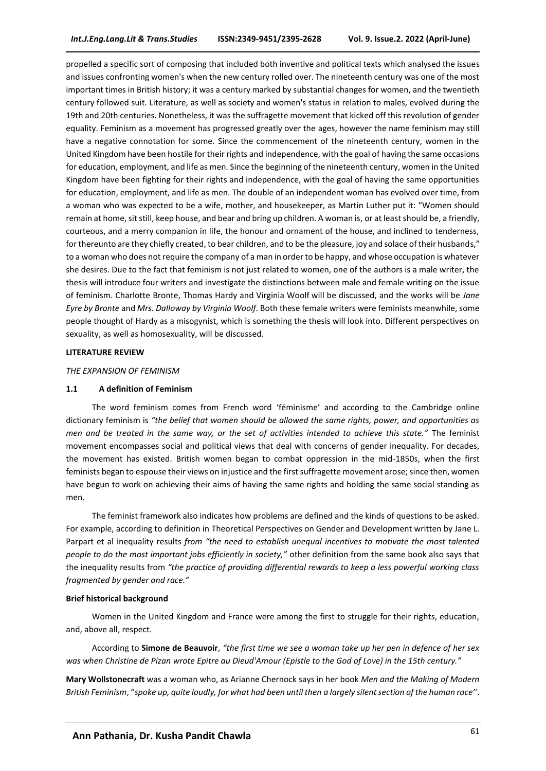propelled a specific sort of composing that included both inventive and political texts which analysed the issues and issues confronting women's when the new century rolled over. The nineteenth century was one of the most important times in British history; it was a century marked by substantial changes for women, and the twentieth century followed suit. Literature, as well as society and women's status in relation to males, evolved during the 19th and 20th centuries. Nonetheless, it was the suffragette movement that kicked off this revolution of gender equality. Feminism as a movement has progressed greatly over the ages, however the name feminism may still have a negative connotation for some. Since the commencement of the nineteenth century, women in the United Kingdom have been hostile for their rights and independence, with the goal of having the same occasions for education, employment, and life as men. Since the beginning of the nineteenth century, women in the United Kingdom have been fighting for their rights and independence, with the goal of having the same opportunities for education, employment, and life as men. The double of an independent woman has evolved over time, from a woman who was expected to be a wife, mother, and housekeeper, as Martin Luther put it: "Women should remain at home, sit still, keep house, and bear and bring up children. A woman is, or at least should be, a friendly, courteous, and a merry companion in life, the honour and ornament of the house, and inclined to tenderness, for thereunto are they chiefly created, to bear children, and to be the pleasure, joy and solace of their husbands," to a woman who does not require the company of a man in order to be happy, and whose occupation is whatever she desires. Due to the fact that feminism is not just related to women, one of the authors is a male writer, the thesis will introduce four writers and investigate the distinctions between male and female writing on the issue of feminism. Charlotte Bronte, Thomas Hardy and Virginia Woolf will be discussed, and the works will be *Jane Eyre by Bronte* and *Mrs. Dalloway by Virginia Woolf*. Both these female writers were feminists meanwhile, some people thought of Hardy as a misogynist, which is something the thesis will look into. Different perspectives on sexuality, as well as homosexuality, will be discussed.

#### **LITERATURE REVIEW**

#### *THE EXPANSION OF FEMINISM*

#### **1.1 A definition of Feminism**

The word feminism comes from French word 'féminisme' and according to the Cambridge online dictionary feminism is *"the belief that women should be allowed the same rights, power, and opportunities as men and be treated in the same way, or the set of activities intended to achieve this state."* The feminist movement encompasses social and political views that deal with concerns of gender inequality. For decades, the movement has existed. British women began to combat oppression in the mid-1850s, when the first feminists began to espouse their views on injustice and the first suffragette movement arose; since then, women have begun to work on achieving their aims of having the same rights and holding the same social standing as men.

The feminist framework also indicates how problems are defined and the kinds of questions to be asked. For example, according to definition in Theoretical Perspectives on Gender and Development written by Jane L. Parpart et al inequality results *from "the need to establish unequal incentives to motivate the most talented people to do the most important jobs efficiently in society,"* other definition from the same book also says that the inequality results from *"the practice of providing differential rewards to keep a less powerful working class fragmented by gender and race."*

#### **Brief historical background**

Women in the United Kingdom and France were among the first to struggle for their rights, education, and, above all, respect.

According to **Simone de Beauvoir**, *"the first time we see a woman take up her pen in defence of her sex was when Christine de Pizan wrote Epitre au Dieud'Amour (Epistle to the God of Love) in the 15th century."* 

**Mary Wollstonecraft** was a woman who, as Arianne Chernock says in her book *Men and the Making of Modern British Feminism*, "*spoke up, quite loudly, for what had been until then a largely silent section of the human race''*.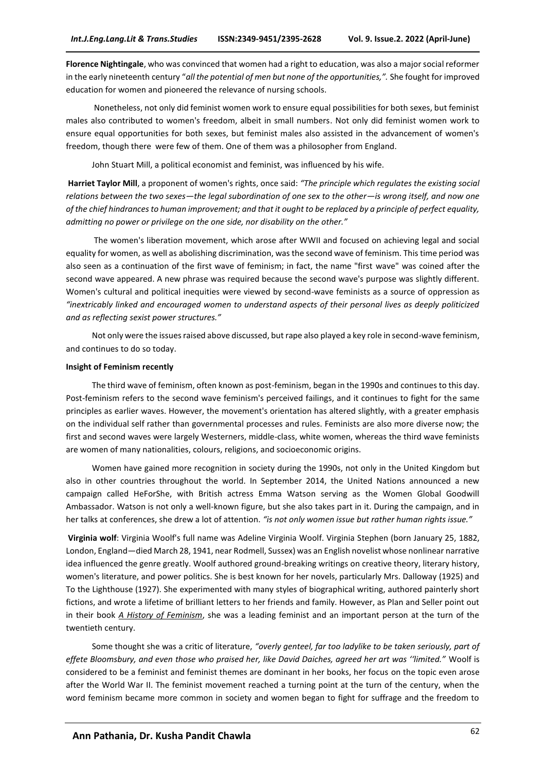**Florence Nightingale**, who was convinced that women had a right to education, was also a major social reformer in the early nineteenth century "*all the potential of men but none of the opportunities,".* She fought for improved education for women and pioneered the relevance of nursing schools.

Nonetheless, not only did feminist women work to ensure equal possibilities for both sexes, but feminist males also contributed to women's freedom, albeit in small numbers. Not only did feminist women work to ensure equal opportunities for both sexes, but feminist males also assisted in the advancement of women's freedom, though there were few of them. One of them was a philosopher from England.

John Stuart Mill, a political economist and feminist, was influenced by his wife.

**Harriet Taylor Mill**, a proponent of women's rights, once said: *"The principle which regulates the existing social relations between the two sexes—the legal subordination of one sex to the other—is wrong itself, and now one of the chief hindrances to human improvement; and that it ought to be replaced by a principle of perfect equality, admitting no power or privilege on the one side, nor disability on the other."*

The women's liberation movement, which arose after WWII and focused on achieving legal and social equality for women, as well as abolishing discrimination, was the second wave of feminism. This time period was also seen as a continuation of the first wave of feminism; in fact, the name "first wave" was coined after the second wave appeared. A new phrase was required because the second wave's purpose was slightly different. Women's cultural and political inequities were viewed by second-wave feminists as a source of oppression as *"inextricably linked and encouraged women to understand aspects of their personal lives as deeply politicized and as reflecting sexist power structures."*

Not only were the issues raised above discussed, but rape also played a key role in second-wave feminism, and continues to do so today.

#### **Insight of Feminism recently**

The third wave of feminism, often known as post-feminism, began in the 1990s and continues to this day. Post-feminism refers to the second wave feminism's perceived failings, and it continues to fight for the same principles as earlier waves. However, the movement's orientation has altered slightly, with a greater emphasis on the individual self rather than governmental processes and rules. Feminists are also more diverse now; the first and second waves were largely Westerners, middle-class, white women, whereas the third wave feminists are women of many nationalities, colours, religions, and socioeconomic origins.

Women have gained more recognition in society during the 1990s, not only in the United Kingdom but also in other countries throughout the world. In September 2014, the United Nations announced a new campaign called HeForShe, with British actress Emma Watson serving as the Women Global Goodwill Ambassador. Watson is not only a well-known figure, but she also takes part in it. During the campaign, and in her talks at conferences, she drew a lot of attention. *"is not only women issue but rather human rights issue."*

**Virginia wolf**: Virginia Woolf's full name was Adeline Virginia Woolf. Virginia Stephen (born January 25, 1882, London, England—died March 28, 1941, near Rodmell, Sussex) was an English novelist whose nonlinear narrative idea influenced the genre greatly. Woolf authored ground-breaking writings on creative theory, literary history, women's literature, and power politics. She is best known for her novels, particularly Mrs. Dalloway (1925) and To the Lighthouse (1927). She experimented with many styles of biographical writing, authored painterly short fictions, and wrote a lifetime of brilliant letters to her friends and family. However, as Plan and Seller point out in their book *A History of Feminism*, she was a leading feminist and an important person at the turn of the twentieth century.

Some thought she was a critic of literature, *"overly genteel, far too ladylike to be taken seriously, part of effete Bloomsbury, and even those who praised her, like David Daiches, agreed her art was ''limited."* Woolf is considered to be a feminist and feminist themes are dominant in her books, her focus on the topic even arose after the World War II. The feminist movement reached a turning point at the turn of the century, when the word feminism became more common in society and women began to fight for suffrage and the freedom to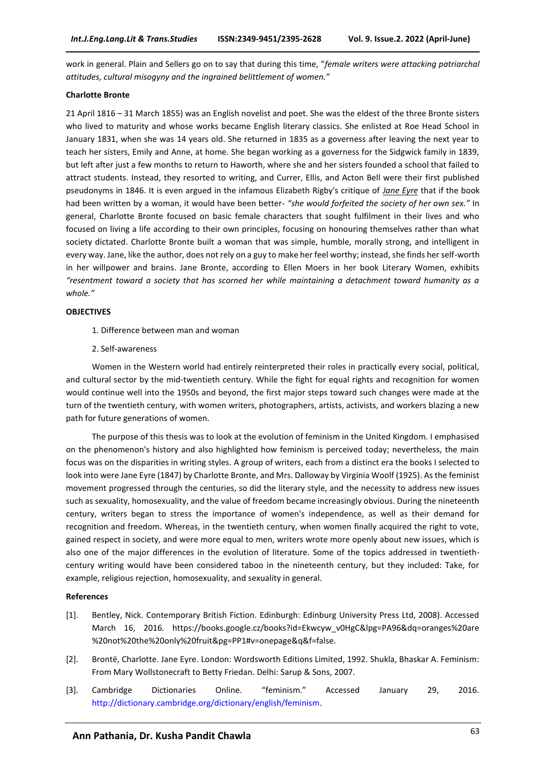work in general. Plain and Sellers go on to say that during this time, "*female writers were attacking patriarchal attitudes, cultural misogyny and the ingrained belittlement of women."*

#### **Charlotte Bronte**

21 April 1816 – 31 March 1855) was an English novelist and poet. She was the eldest of the three Bronte sisters who lived to maturity and whose works became English literary classics. She enlisted at Roe Head School in January 1831, when she was 14 years old. She returned in 1835 as a governess after leaving the next year to teach her sisters, Emily and Anne, at home. She began working as a governess for the Sidgwick family in 1839, but left after just a few months to return to Haworth, where she and her sisters founded a school that failed to attract students. Instead, they resorted to writing, and Currer, Ellis, and Acton Bell were their first published pseudonyms in 1846. It is even argued in the infamous Elizabeth Rigby's critique of *Jane Eyre* that if the book had been written by a woman, it would have been better*- "she would forfeited the society of her own sex."* In general, Charlotte Bronte focused on basic female characters that sought fulfilment in their lives and who focused on living a life according to their own principles, focusing on honouring themselves rather than what society dictated. Charlotte Bronte built a woman that was simple, humble, morally strong, and intelligent in every way. Jane, like the author, does not rely on a guy to make her feel worthy; instead, she finds her self-worth in her willpower and brains. Jane Bronte, according to Ellen Moers in her book Literary Women, exhibits *"resentment toward a society that has scorned her while maintaining a detachment toward humanity as a whole."*

#### **OBJECTIVES**

- 1. Difference between man and woman
- 2. Self-awareness

Women in the Western world had entirely reinterpreted their roles in practically every social, political, and cultural sector by the mid-twentieth century. While the fight for equal rights and recognition for women would continue well into the 1950s and beyond, the first major steps toward such changes were made at the turn of the twentieth century, with women writers, photographers, artists, activists, and workers blazing a new path for future generations of women.

The purpose of this thesis was to look at the evolution of feminism in the United Kingdom. I emphasised on the phenomenon's history and also highlighted how feminism is perceived today; nevertheless, the main focus was on the disparities in writing styles. A group of writers, each from a distinct era the books I selected to look into were Jane Eyre (1847) by Charlotte Bronte, and Mrs. Dalloway by Virginia Woolf (1925). As the feminist movement progressed through the centuries, so did the literary style, and the necessity to address new issues such as sexuality, homosexuality, and the value of freedom became increasingly obvious. During the nineteenth century, writers began to stress the importance of women's independence, as well as their demand for recognition and freedom. Whereas, in the twentieth century, when women finally acquired the right to vote, gained respect in society, and were more equal to men, writers wrote more openly about new issues, which is also one of the major differences in the evolution of literature. Some of the topics addressed in twentiethcentury writing would have been considered taboo in the nineteenth century, but they included: Take, for example, religious rejection, homosexuality, and sexuality in general.

#### **References**

- [1]. Bentley, Nick. Contemporary British Fiction. Edinburgh: Edinburg University Press Ltd, 2008). Accessed March 16, 2016. https://books.google.cz/books?id=Ekwcyw\_v0HgC&lpg=PA96&dq=oranges%20are %20not%20the%20only%20fruit&pg=PP1#v=onepage&q&f=false.
- [2]. Brontë, Charlotte. Jane Eyre. London: Wordsworth Editions Limited, 1992. Shukla, Bhaskar A. Feminism: From Mary Wollstonecraft to Betty Friedan. Delhi: Sarup & Sons, 2007.
- [3]. Cambridge Dictionaries Online. "feminism." Accessed January 29, 2016. [http://dictionary.cambridge.org/dictionary/english/feminism.](http://dictionary.cambridge.org/dictionary/english/feminism)